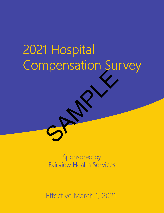# 2021 Hospital Compensation Survey SPAMPLE

Sponsored by Fairview Health Services

Effective March 1, 2021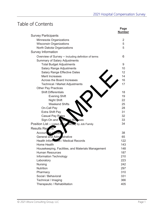# Table of Contents

|                                                       | Page<br><b>Number</b> |
|-------------------------------------------------------|-----------------------|
| <b>Survey Participants</b>                            |                       |
| Minnesota Organizations                               | $\overline{2}$        |
| <b>Wisconsin Organizations</b>                        | 5                     |
| North Dakota Organizations                            | 5                     |
| <b>Survey Information</b>                             |                       |
| Overview of Survey - Including definition of terms    | 6                     |
| <b>Summary of Salary Adjustments</b>                  |                       |
| <b>Total Budget Adjustments</b>                       | 9                     |
| <b>Salary Range Adjustments</b>                       | 10                    |
| <b>Salary Range Effective Dates</b>                   | 12                    |
| <b>Merit Increases</b>                                | 14                    |
| Across the Board Increases                            | 16                    |
| <b>Technical / Market Adjustments</b>                 | 17                    |
| <b>Other Pay Practices</b>                            |                       |
| <b>Shift Differentials</b>                            | 18                    |
| <b>Evening Shift</b>                                  | 19                    |
| Night Shift                                           | 22                    |
| <b>Weekend Shifts</b>                                 | 25                    |
| On-Call Pay                                           | 28                    |
| <b>Extra Shift Pay</b>                                | 31                    |
| Casual Pay Rates                                      | 32                    |
| Sign-On and Returning Box uses                        | 33                    |
| Position List $-$ Listed A, be etically by Job Family | 34                    |
| Results Reports                                       |                       |
| Account to <i>L</i> man e                             | 38                    |
| General and Admi Istrative                            | 65                    |
| Health Information / Medical Records                  | 122                   |
| Home Health                                           | 143                   |
| Housekeeping, Facilities, and Materials Management    | 148                   |
| <b>Human Resources</b>                                | 187                   |
| <b>Information Technology</b>                         | 210                   |
| Laboratory                                            | 223                   |
| <b>Nursing</b>                                        | 242                   |
| <b>Nutrition</b>                                      | 297                   |
| Pharmacy                                              | 310                   |
| Social / Behavioral                                   | 331                   |
| Technical / Imaging                                   | 366                   |
| Therapeutic / Rehabilitation                          | 405                   |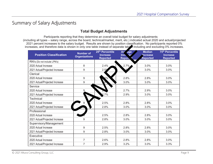## Summary of Salary Adjustments

#### **Total Budget Adjustments**

Participants reporting that they determine an overall total budget for salary adjustments (including all types – salary range, across the board, technical/market, merit, etc.) indicated actual 2020 and actual/projected 2021 percent increases to the salary budget. Results are shown by position classification. No participants reported 0% increases, and therefore data is shown in only one table instead of separate tables including and excluding 0% increases.

| <b>Position Classification</b> | <b>Number of</b><br><b>Organizations</b> | 25 <sup>th</sup> Percentile<br><b>Increase</b><br><b>Reported</b> | <b>Av</b><br>age<br><b>Inci</b><br>isr<br><b>Report</b> | <b>Median</b><br><b>Increase</b><br>Reported | 75 <sup>th</sup> Percentile<br><b>Increase</b><br><b>Reported</b> |
|--------------------------------|------------------------------------------|-------------------------------------------------------------------|---------------------------------------------------------|----------------------------------------------|-------------------------------------------------------------------|
| RN's (Do not include LPN's)    |                                          |                                                                   |                                                         |                                              |                                                                   |
| 2020 Actual Increase           | 8                                        | 2.4%                                                              | 2.7%                                                    | 3.0%                                         | 3.0%                                                              |
| 2021 Actual/Projected Increase | 9                                        | 2.5 <sup>o</sup>                                                  | يو                                                      | 3.0%                                         | 3.0%                                                              |
| Clerical                       |                                          |                                                                   |                                                         |                                              |                                                                   |
| 2020 Actual Increase           | 9                                        | 6%                                                                | 2.8%                                                    | 2.8%                                         | 3.0%                                                              |
| 2021 Actual/Projected Increase | 9                                        |                                                                   | 3.0%                                                    | 3.0%                                         | 3.0%                                                              |
| Service                        |                                          |                                                                   |                                                         |                                              |                                                                   |
| 2020 Actual Increase           | 9                                        |                                                                   | 2.7%                                                    | 2.9%                                         | 3.0%                                                              |
| 2021 Actual/Projected Increase |                                          | 2.7%                                                              | 2.9%                                                    | 3.0%                                         | 3.0%                                                              |
| <b>Technical</b>               |                                          |                                                                   |                                                         |                                              |                                                                   |
| 2020 Actual Increase           | $9\,$                                    | 2.5%                                                              | 2.8%                                                    | 2.8%                                         | 3.0%                                                              |
| 2021 Actual/Projected Increase |                                          | 2.8%                                                              | 3.0%                                                    | 3.0%                                         | 3.0%                                                              |
| Professional                   |                                          |                                                                   |                                                         |                                              |                                                                   |
| 2020 Actual Increase           |                                          | 2.5%                                                              | 2.8%                                                    | 2.8%                                         | 3.0%                                                              |
| 2021 Actual/Projected Increase | 9                                        | 2.8%                                                              | 3.0%                                                    | 3.0%                                         | 3.0%                                                              |
| Supervisory/Management         |                                          |                                                                   |                                                         |                                              |                                                                   |
| 2020 Actual Increase           | 9                                        | 2.5%                                                              | 2.8%                                                    | 2.8%                                         | 3.0%                                                              |
| 2021 Actual/Projected Increase | 9                                        | 2.8%                                                              | 3.0%                                                    | 3.0%                                         | 3.0%                                                              |
| Executive                      |                                          |                                                                   |                                                         |                                              |                                                                   |
| 2020 Actual Increase           | $\overline{7}$                           | 2.6%                                                              | 2.8%                                                    | 2.8%                                         | 3.0%                                                              |
| 2021 Actual/Projected Increase | 7                                        | 2.9%                                                              | 3.2%                                                    | 3.0%                                         | 3.3%                                                              |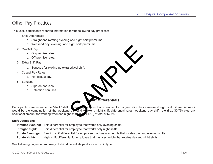## Other Pay Practices

This year, participants reported information for the following pay practices:

- 1. Shift Differentials
	- a. Straight and rotating evening and night shift premiums.
	- b. Weekend day, evening, and night shift premiums.
- 2. On-Call Pay
	- a. On-premise rates.
	- b. Off-premise rates.
- 3. Extra Shift Pay
	- a. Bonuses for picking up extra critical shift.
- 4. Casual Pay Rates
	- a. Flat casual pay.
- 5. Bonuses
	- a. Sign-on bonuses.
	- b. Retention bonuses.



Participants were instructed to "stack" shift diverential pay wites. For example, if an organization has a weekend night shift differential rate it would be the combination of the weekend day and w ekend night shift differential rates: weekend day shift rate (i.e., \$0.75) plus any additional amount for working weekend night shift site (i.e., \$0.75) plus any additional amount for working weekend night shifts (i.e.

#### **Shift Definitions**

|                        | <b>Straight Evening:</b> Shift differential for employee that works only evening shifts.                                 |
|------------------------|--------------------------------------------------------------------------------------------------------------------------|
| <b>Straight Night:</b> | Shift differential for employee that works only night shifts.                                                            |
|                        | <b>Rotate Evenings:</b> Evening shift differential for employee that has a schedule that rotates day and evening shifts. |
| <b>Rotate Nights:</b>  | Night shift differential for employee that has a schedule that rotates day and night shifts.                             |

See following pages for summary of shift differentials paid for each shift type.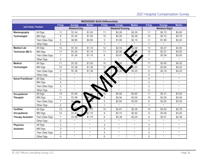### 2021 Hospital Compensation Survey

| <b>WEEKEND Shift Differentials</b> |                  |                    |                  |               |                        |         |               |                      |         |               |  |  |
|------------------------------------|------------------|--------------------|------------------|---------------|------------------------|---------|---------------|----------------------|---------|---------------|--|--|
|                                    |                  | # Orgs             | Average          | <b>Median</b> | # Orgs                 | Average | <b>Median</b> | # Orgs               | Average | <b>Median</b> |  |  |
| <b>Job Family / Position</b>       |                  | <b>Weekend Day</b> |                  |               | <b>Weekend Evening</b> |         |               | <b>Weekend Night</b> |         |               |  |  |
| <b>Mammography</b>                 | All Orgs         | 11                 | \$1.34           | \$1.00        | 11                     | \$2.26  | \$2.35        | 11                   | \$2.73  | \$2.80        |  |  |
| <b>Technologist</b>                | MN Orgs          | 9                  | \$1.20           | \$1.00        | 10                     | \$2.26  | \$2.38        | 10                   | \$2.72  | \$2.78        |  |  |
|                                    | Twin Cities Orgs | 5                  | \$0.96           | \$0.90        | 5                      | \$1.69  | \$2.15        | 5                    | \$1.89  | \$2.40        |  |  |
|                                    | Other Orgs       | $\overline{2}$     | $\star$          | $\star$       | $\mathbf{1}$           | $\star$ | $\star$       | $\mathbf{1}$         | $\star$ | $\star$       |  |  |
| <b>Medical Lab</b>                 | All Orgs         | 13                 | \$1.35           | \$1.15        | 12                     | \$2.55  | \$2.48        | 13                   | \$3.27  | \$3.50        |  |  |
| <b>Technician (MLT)</b>            | MN Orgs          | 11                 | \$1.24           | \$1.15        | 11                     | \$2.56  | \$2           | 12                   | \$3.31  | \$3.50        |  |  |
|                                    | Twin Cities Orgs | $\overline{7}$     | \$1.26           | \$1.15        | 6                      | \$2.67  | .65           | $\overline{7}$       | \$3.36  | \$3.50        |  |  |
|                                    | Other Orgs       | $\overline{2}$     | $\star$          | $\star$       | $\mathbf{1}$           | $\star$ | $\star$       | $\mathbf{1}$         | $\star$ | $\star$       |  |  |
| <b>Medical</b>                     | All Orgs         | 11                 | \$1.52           | \$1.50        | 10                     | 00      | \$3.          | 11                   | \$3.95  | \$4.20        |  |  |
| <b>Technologist</b>                | <b>MN Orgs</b>   | 10                 | \$1.38           | \$1.38        | $10$                   | \$3.6   | 63.00         | 11                   | \$3.95  | \$4.20        |  |  |
|                                    | Twin Cities Orgs | 6                  | \$1.36           | \$1.38        | 5.                     | 3.20    | \$3.25        | 6                    | \$4.18  | \$4.23        |  |  |
|                                    | Other Orgs       | $\mathbf{1}$       | $\star$          | $\star$       | <sup>0</sup>           | $\star$ | $\star$       | 0                    | $\star$ | $\star$       |  |  |
| <b>Nurse Practitioner</b>          | All Orgs         | 4                  | $^\star$         | $\star$       |                        | $\star$ | $\star$       | $\overline{4}$       | $\star$ | $\star$       |  |  |
|                                    | MN Orgs          | 4                  | $\star$          | $\star$       |                        | $\star$ | $\star$       | $\overline{4}$       | $\star$ | $\star$       |  |  |
|                                    | Twin Cities Orgs | 3                  | $\star$          |               |                        | $\star$ | $\star$       | 3                    | $\star$ | $\star$       |  |  |
|                                    | Other Orgs       | 0                  | $\star$          | $\star$       |                        | $\star$ | $\star$       | 0                    | $\star$ | $\star$       |  |  |
| Occupational                       | All Orgs         | 13                 | \$1.90           | 00            | 10                     | \$2.92  | \$2.85        | 11                   | \$3.31  | \$3.50        |  |  |
| <b>Therapist</b>                   | <b>MN Orgs</b>   | 11                 | \$1.89           | \$2.00        | 9                      | \$2.94  | \$3.00        | 10                   | \$3.29  | \$3.45        |  |  |
|                                    | Twin Cities Orgs | $\overline{7}$     | \$1 <sup>o</sup> | 5             | 5                      | \$2.82  | \$3.00        | 6                    | \$3.02  | \$3.20        |  |  |
|                                    | Other Orgs       | $\overline{2}$     |                  |               | $\mathbf{1}$           | $\star$ | $\star$       | $\mathbf{1}$         | $\star$ | $\star$       |  |  |
| <b>Certified</b>                   | All Orgs         | 12                 |                  | \$1.75        | 10                     | \$2.67  | \$2.38        | 10                   | \$3.03  | \$2.78        |  |  |
| Occupational                       | <b>MN Orgs</b>   | 10                 | \$1.67           | \$1.75        | 9                      | \$2.74  | \$2.50        | 9                    | \$3.09  | \$3.05        |  |  |
| <b>Therapy Assistant</b>           | Twin Cities Orgs | $\overline{7}$     | \$1.66           | \$1.75        | 6                      | \$2.38  | \$2.25        | 6                    | \$2.51  | \$2.38        |  |  |
|                                    | Other Orgs       | $\overline{2}$     | $\star$          | $\star$       | $\mathbf{1}$           | $\star$ | $\star$       | $\mathbf{1}$         | $\star$ | $\star$       |  |  |
| Physician                          | All Orgs         | 3                  | $\star$          | $\star$       | 3                      | $\star$ | $\star$       | 3                    | $\star$ | $\star$       |  |  |
| <b>Assistant</b>                   | MN Orgs          | 3                  | $^\star$         | $\star$       | 3                      | $\star$ | $\star$       | 3                    | $\star$ | $\star$       |  |  |
|                                    | Twin Cities Orgs | $\overline{2}$     | $\star$          | $\star$       | $\sqrt{2}$             | $\star$ | $\star$       | $\overline{2}$       | $\star$ | $\star$       |  |  |
|                                    | Other Orgs       | 0                  | $\star$          | $\star$       | $\mathbf 0$            | $\star$ | $\star$       | $\mathsf{O}\xspace$  | $\star$ | $\star$       |  |  |